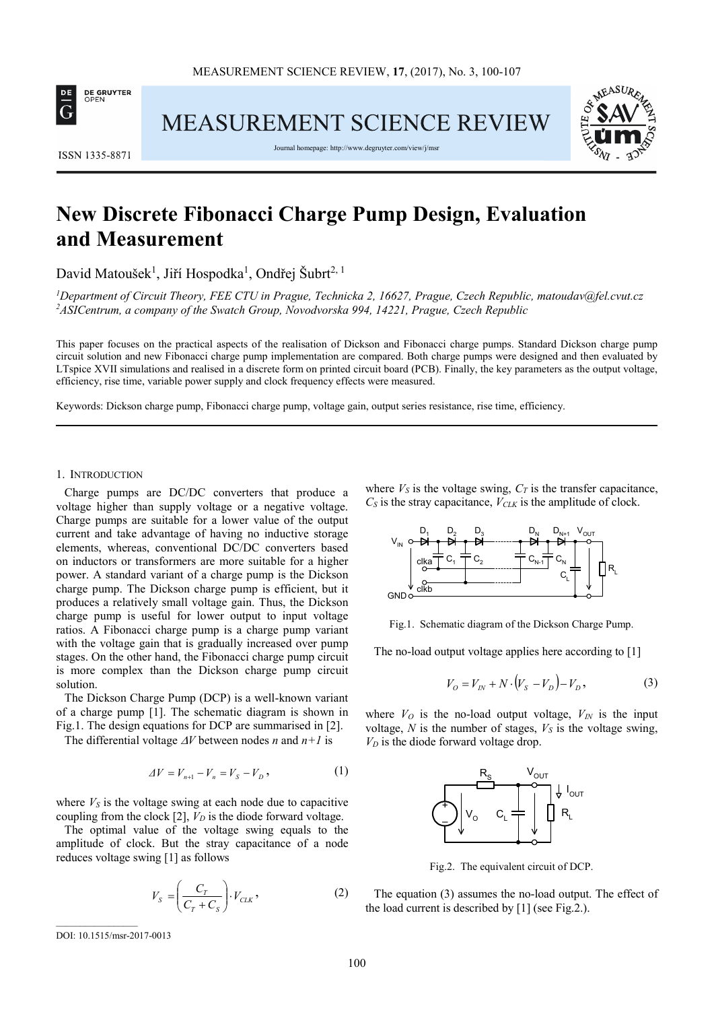

MEASUREMENT SCIENCE REVIEW



ISSN 1335-8871

Journal homepage: http://www.degruyter.com/view/j/ms

# **New Discrete Fibonacci Charge Pump Design, Evaluation and Measurement**

David Matoušek<sup>1</sup>, Jiří Hospodka<sup>1</sup>, Ondřej Šubrt<sup>2, 1</sup>

*<sup>1</sup>Department of Circuit Theory, FEE CTU in Prague, Technicka 2, 16627, Prague, Czech Republic, matoudav@fel.cvut.cz <sup>2</sup>ASICentrum, a company of the Swatch Group, Novodvorska 994, 14221, Prague, Czech Republic* 

This paper focuses on the practical aspects of the realisation of Dickson and Fibonacci charge pumps. Standard Dickson charge pump circuit solution and new Fibonacci charge pump implementation are compared. Both charge pumps were designed and then evaluated by LTspice XVII simulations and realised in a discrete form on printed circuit board (PCB). Finally, the key parameters as the output voltage, efficiency, rise time, variable power supply and clock frequency effects were measured.

Keywords: Dickson charge pump, Fibonacci charge pump, voltage gain, output series resistance, rise time, efficiency.

#### 1. INTRODUCTION

Charge pumps are DC/DC converters that produce a voltage higher than supply voltage or a negative voltage. Charge pumps are suitable for a lower value of the output current and take advantage of having no inductive storage elements, whereas, conventional DC/DC converters based on inductors or transformers are more suitable for a higher power. A standard variant of a charge pump is the Dickson charge pump. The Dickson charge pump is efficient, but it produces a relatively small voltage gain. Thus, the Dickson charge pump is useful for lower output to input voltage ratios. A Fibonacci charge pump is a charge pump variant with the voltage gain that is gradually increased over pump stages. On the other hand, the Fibonacci charge pump circuit is more complex than the Dickson charge pump circuit solution.

The Dickson Charge Pump (DCP) is a well-known variant of a charge pump [1]. The schematic diagram is shown in Fig.1. The design equations for DCP are summarised in [2].

The differential voltage ∆*V* between nodes *n* and *n+1* is

$$
\Delta V = V_{n+1} - V_n = V_S - V_D, \qquad (1)
$$

where  $V<sub>S</sub>$  is the voltage swing at each node due to capacitive coupling from the clock [2], *VD* is the diode forward voltage.

The optimal value of the voltage swing equals to the amplitude of clock. But the stray capacitance of a node reduces voltage swing [1] as follows

$$
V_s = \left(\frac{C_T}{C_T + C_s}\right) \cdot V_{CLK},
$$
\n(2)

where  $V_s$  is the voltage swing,  $C_T$  is the transfer capacitance,  $C_S$  is the stray capacitance,  $V_{CLK}$  is the amplitude of clock.



Fig.1. Schematic diagram of the Dickson Charge Pump.

The no-load output voltage applies here according to [1]

$$
V_{O} = V_{IN} + N \cdot (V_{S} - V_{D}) - V_{D},
$$
 (3)

where  $V_O$  is the no-load output voltage,  $V_{IN}$  is the input voltage,  $N$  is the number of stages,  $V_S$  is the voltage swing,  $V_D$  is the diode forward voltage drop.



Fig.2. The equivalent circuit of DCP.

The equation (3) assumes the no-load output. The effect of the load current is described by  $[1]$  (see Fig.2.).

 $\overline{\phantom{a}}$  ,  $\overline{\phantom{a}}$  ,  $\overline{\phantom{a}}$  ,  $\overline{\phantom{a}}$  ,  $\overline{\phantom{a}}$  ,  $\overline{\phantom{a}}$  ,  $\overline{\phantom{a}}$  ,  $\overline{\phantom{a}}$  ,  $\overline{\phantom{a}}$  ,  $\overline{\phantom{a}}$  ,  $\overline{\phantom{a}}$  ,  $\overline{\phantom{a}}$  ,  $\overline{\phantom{a}}$  ,  $\overline{\phantom{a}}$  ,  $\overline{\phantom{a}}$  ,  $\overline{\phantom{a}}$ 

DOI: 10.1515/msr-2017-0013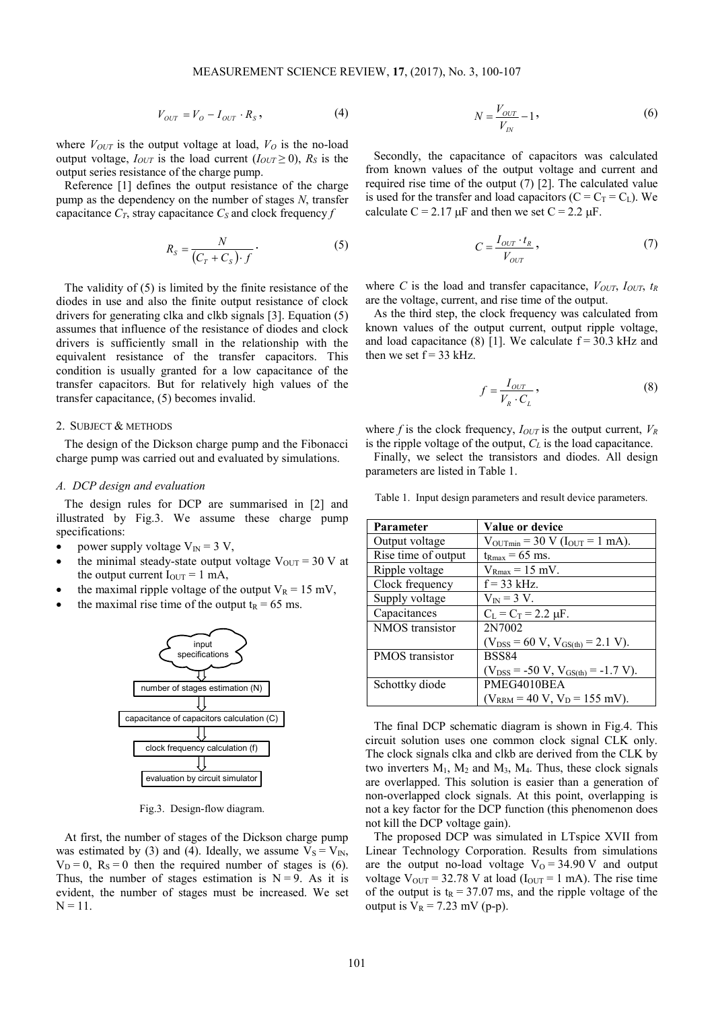$$
V_{OUT} = V_o - I_{OUT} \cdot R_s, \qquad (4)
$$

where  $V_{OUT}$  is the output voltage at load,  $V_O$  is the no-load output voltage,  $I_{OUT}$  is the load current  $(I_{OUT} \ge 0)$ ,  $R_S$  is the output series resistance of the charge pump.

Reference [1] defines the output resistance of the charge pump as the dependency on the number of stages *N*, transfer capacitance  $C_T$ , stray capacitance  $C_S$  and clock frequency  $f$ 

$$
R_s = \frac{N}{\left(C_r + C_s\right) \cdot f} \tag{5}
$$

The validity of (5) is limited by the finite resistance of the diodes in use and also the finite output resistance of clock drivers for generating clka and clkb signals [3]. Equation (5) assumes that influence of the resistance of diodes and clock drivers is sufficiently small in the relationship with the equivalent resistance of the transfer capacitors. This condition is usually granted for a low capacitance of the transfer capacitors. But for relatively high values of the transfer capacitance, (5) becomes invalid.

#### 2. SUBJECT & METHODS

The design of the Dickson charge pump and the Fibonacci charge pump was carried out and evaluated by simulations.

## *A. DCP design and evaluation*

The design rules for DCP are summarised in [2] and illustrated by Fig.3. We assume these charge pump specifications:

- power supply voltage  $V_{\text{IN}} = 3 V$ ,
- the minimal steady-state output voltage  $V_{\text{OUT}} = 30$  V at the output current  $I_{\text{OUT}} = 1 \text{ mA}$ ,
- the maximal ripple voltage of the output  $V_R = 15$  mV,
- the maximal rise time of the output  $t_R = 65$  ms.



Fig.3. Design-flow diagram.

At first, the number of stages of the Dickson charge pump was estimated by (3) and (4). Ideally, we assume  $V_s = V_{IN}$ ,  $V_D = 0$ ,  $R_S = 0$  then the required number of stages is (6). Thus, the number of stages estimation is  $N = 9$ . As it is evident, the number of stages must be increased. We set  $N = 11$ .

$$
N = \frac{V_{OUT}}{V_{IN}} - 1\,,\tag{6}
$$

Secondly, the capacitance of capacitors was calculated from known values of the output voltage and current and required rise time of the output (7) [2]. The calculated value is used for the transfer and load capacitors ( $C = C_T = C_L$ ). We calculate  $C = 2.17 \text{ }\mu\text{F}$  and then we set  $C = 2.2 \text{ }\mu\text{F}$ .

$$
C = \frac{I_{OUT} \cdot t_R}{V_{OUT}},\tag{7}
$$

where *C* is the load and transfer capacitance,  $V_{OUT}$ ,  $I_{OUT}$ ,  $t_R$ are the voltage, current, and rise time of the output.

As the third step, the clock frequency was calculated from known values of the output current, output ripple voltage, and load capacitance  $(8)$  [1]. We calculate  $f = 30.3$  kHz and then we set  $f = 33$  kHz.

$$
f = \frac{I_{OUT}}{V_R \cdot C_L},\tag{8}
$$

where *f* is the clock frequency,  $I_{OUT}$  is the output current,  $V_R$ is the ripple voltage of the output, *CL* is the load capacitance.

Finally, we select the transistors and diodes. All design parameters are listed in Table 1.

Table 1. Input design parameters and result device parameters.

| Parameter              | Value or device                                                     |  |  |  |
|------------------------|---------------------------------------------------------------------|--|--|--|
| Output voltage         | $V_{\text{OUTmin}} = 30 \text{ V} (I_{\text{OUT}} = 1 \text{ mA}).$ |  |  |  |
| Rise time of output    | $t_{\rm Rmax}$ = 65 ms.                                             |  |  |  |
| Ripple voltage         | $V_{\text{Rmax}} = 15$ mV.                                          |  |  |  |
| Clock frequency        | $f = 33$ kHz.                                                       |  |  |  |
| Supply voltage         | $V_{\text{IN}} = 3 V.$                                              |  |  |  |
| Capacitances           | $C_L = C_T = 2.2 \mu F$ .                                           |  |  |  |
| NMOS transistor        | 2N7002                                                              |  |  |  |
|                        | $(V_{DSS} = 60 V, V_{GS(th)} = 2.1 V).$                             |  |  |  |
| <b>PMOS</b> transistor | <b>BSS84</b>                                                        |  |  |  |
|                        | $(V_{DSS} = -50 V, V_{GS(th)} = -1.7 V).$                           |  |  |  |
| Schottky diode         | PMEG4010BEA                                                         |  |  |  |
|                        | $(V_{\rm RRM} = 40 \text{ V}, V_{\rm D} = 155 \text{ mV}).$         |  |  |  |

The final DCP schematic diagram is shown in Fig.4. This circuit solution uses one common clock signal CLK only. The clock signals clka and clkb are derived from the CLK by two inverters  $M_1$ ,  $M_2$  and  $M_3$ ,  $M_4$ . Thus, these clock signals are overlapped. This solution is easier than a generation of non-overlapped clock signals. At this point, overlapping is not a key factor for the DCP function (this phenomenon does not kill the DCP voltage gain).

The proposed DCP was simulated in LTspice XVII from Linear Technology Corporation. Results from simulations are the output no-load voltage  $V_0 = 34.90$  V and output voltage  $V_{\text{OUT}} = 32.78$  V at load ( $I_{\text{OUT}} = 1$  mA). The rise time of the output is  $t_R = 37.07$  ms, and the ripple voltage of the output is  $V_R = 7.23$  mV (p-p).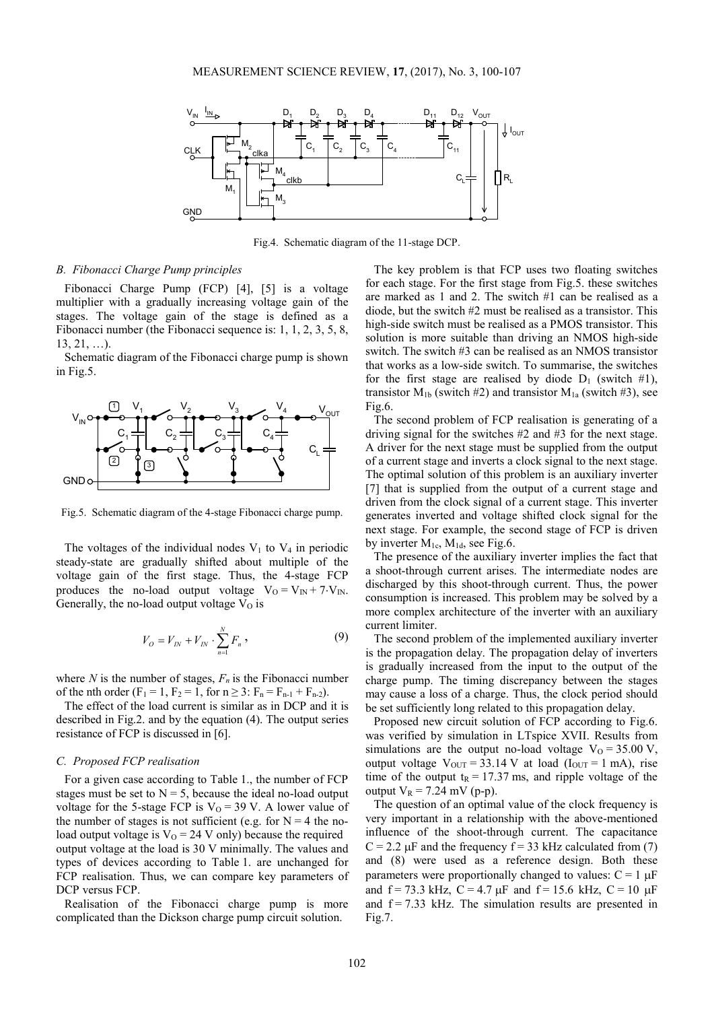

Fig.4. Schematic diagram of the 11-stage DCP.

#### *B. Fibonacci Charge Pump principles*

Fibonacci Charge Pump (FCP) [4], [5] is a voltage multiplier with a gradually increasing voltage gain of the stages. The voltage gain of the stage is defined as a Fibonacci number (the Fibonacci sequence is: 1, 1, 2, 3, 5, 8,  $13, 21, \ldots$ ).

Schematic diagram of the Fibonacci charge pump is shown in Fig.5.



Fig.5. Schematic diagram of the 4-stage Fibonacci charge pump.

The voltages of the individual nodes  $V_1$  to  $V_4$  in periodic steady-state are gradually shifted about multiple of the voltage gain of the first stage. Thus, the 4-stage FCP produces the no-load output voltage  $V_O = V_{IN} + 7 \cdot V_{IN}$ . Generally, the no-load output voltage  $V<sub>O</sub>$  is

$$
V_o = V_{I N} + V_{I N} \cdot \sum_{n=1}^{N} F_n, \qquad (9)
$$

where *N* is the number of stages,  $F_n$  is the Fibonacci number of the nth order (F<sub>1</sub> = 1, F<sub>2</sub> = 1, for  $n \ge 3$ : F<sub>n</sub> = F<sub>n-1</sub> + F<sub>n-2</sub>).

The effect of the load current is similar as in DCP and it is described in Fig.2. and by the equation (4). The output series resistance of FCP is discussed in [6].

## *C. Proposed FCP realisation*

For a given case according to Table 1., the number of FCP stages must be set to  $N = 5$ , because the ideal no-load output voltage for the 5-stage FCP is  $V_0 = 39$  V. A lower value of the number of stages is not sufficient (e.g. for  $N = 4$  the noload output voltage is  $V_0 = 24$  V only) because the required output voltage at the load is 30 V minimally. The values and types of devices according to Table 1. are unchanged for FCP realisation. Thus, we can compare key parameters of DCP versus FCP.

Realisation of the Fibonacci charge pump is more complicated than the Dickson charge pump circuit solution.

The key problem is that FCP uses two floating switches for each stage. For the first stage from Fig.5. these switches are marked as 1 and 2. The switch #1 can be realised as a diode, but the switch #2 must be realised as a transistor. This high-side switch must be realised as a PMOS transistor. This solution is more suitable than driving an NMOS high-side switch. The switch #3 can be realised as an NMOS transistor that works as a low-side switch. To summarise, the switches for the first stage are realised by diode  $D_1$  (switch #1), transistor  $M_{1b}$  (switch #2) and transistor  $M_{1a}$  (switch #3), see Fig.6.

The second problem of FCP realisation is generating of a driving signal for the switches #2 and #3 for the next stage. A driver for the next stage must be supplied from the output of a current stage and inverts a clock signal to the next stage. The optimal solution of this problem is an auxiliary inverter [7] that is supplied from the output of a current stage and driven from the clock signal of a current stage. This inverter generates inverted and voltage shifted clock signal for the next stage. For example, the second stage of FCP is driven by inverter  $M_{1c}$ ,  $M_{1d}$ , see Fig.6.

The presence of the auxiliary inverter implies the fact that a shoot-through current arises. The intermediate nodes are discharged by this shoot-through current. Thus, the power consumption is increased. This problem may be solved by a more complex architecture of the inverter with an auxiliary current limiter.

The second problem of the implemented auxiliary inverter is the propagation delay. The propagation delay of inverters is gradually increased from the input to the output of the charge pump. The timing discrepancy between the stages may cause a loss of a charge. Thus, the clock period should be set sufficiently long related to this propagation delay.

Proposed new circuit solution of FCP according to Fig.6. was verified by simulation in LTspice XVII. Results from simulations are the output no-load voltage  $V_0 = 35.00 V$ , output voltage  $V_{\text{OUT}} = 33.14 \text{ V}$  at load ( $I_{\text{OUT}} = 1 \text{ mA}$ ), rise time of the output  $t_R = 17.37$  ms, and ripple voltage of the output  $V_R = 7.24$  mV (p-p).

The question of an optimal value of the clock frequency is very important in a relationship with the above-mentioned influence of the shoot-through current. The capacitance  $C = 2.2 \mu F$  and the frequency  $f = 33 \text{ kHz}$  calculated from (7) and (8) were used as a reference design. Both these parameters were proportionally changed to values:  $C = 1 \mu F$ and f = 73.3 kHz, C = 4.7  $\mu$ F and f = 15.6 kHz, C = 10  $\mu$ F and  $f = 7.33$  kHz. The simulation results are presented in Fig.7.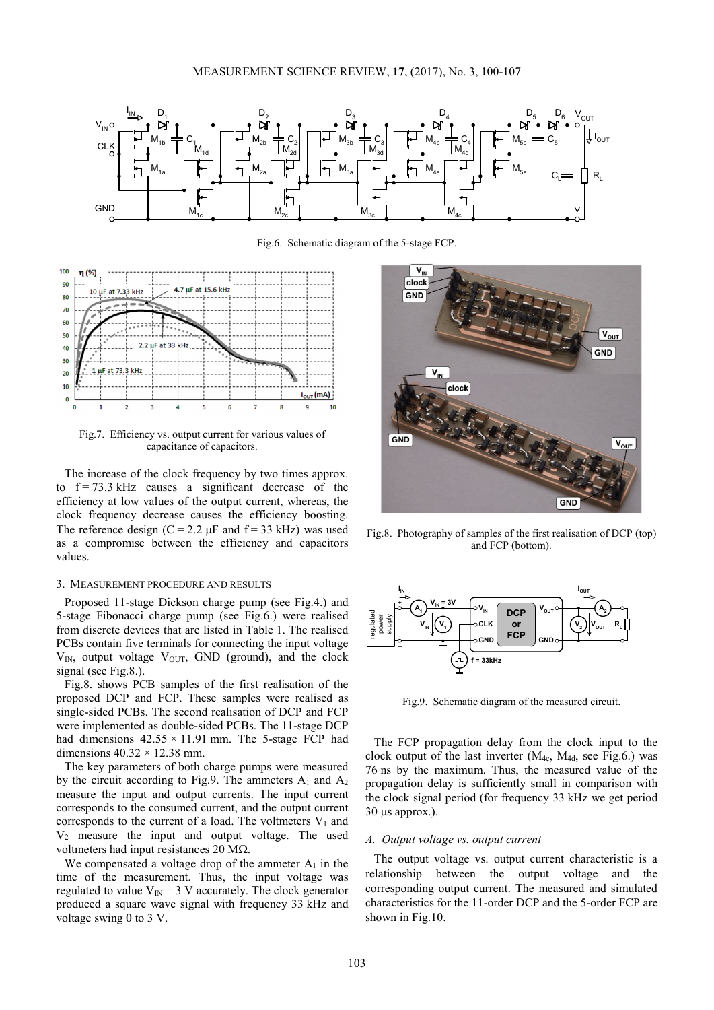

Fig.6. Schematic diagram of the 5-stage FCP.



Fig.7. Efficiency vs. output current for various values of capacitance of capacitors.

The increase of the clock frequency by two times approx. to  $f = 73.3$  kHz causes a significant decrease of the efficiency at low values of the output current, whereas, the clock frequency decrease causes the efficiency boosting. The reference design  $(C = 2.2 \mu F$  and  $f = 33 \text{ kHz})$  was used as a compromise between the efficiency and capacitors values.

#### 3. MEASUREMENT PROCEDURE AND RESULTS

Proposed 11-stage Dickson charge pump (see Fig.4.) and 5-stage Fibonacci charge pump (see Fig.6.) were realised from discrete devices that are listed in Table 1. The realised PCBs contain five terminals for connecting the input voltage  $V_{IN}$ , output voltage  $V_{OUT}$ , GND (ground), and the clock signal (see Fig.8.).

Fig.8. shows PCB samples of the first realisation of the proposed DCP and FCP. These samples were realised as single-sided PCBs. The second realisation of DCP and FCP were implemented as double-sided PCBs. The 11-stage DCP had dimensions  $42.55 \times 11.91$  mm. The 5-stage FCP had dimensions  $40.32 \times 12.38$  mm.

The key parameters of both charge pumps were measured by the circuit according to Fig.9. The ammeters  $A_1$  and  $A_2$ measure the input and output currents. The input current corresponds to the consumed current, and the output current corresponds to the current of a load. The voltmeters  $V_1$  and V2 measure the input and output voltage. The used voltmeters had input resistances 20 MΩ.

We compensated a voltage drop of the ammeter  $A_1$  in the time of the measurement. Thus, the input voltage was regulated to value  $V_{IN} = 3$  V accurately. The clock generator produced a square wave signal with frequency 33 kHz and voltage swing 0 to 3 V.



Fig.8. Photography of samples of the first realisation of DCP (top) and FCP (bottom).



Fig.9. Schematic diagram of the measured circuit.

The FCP propagation delay from the clock input to the clock output of the last inverter  $(M_{4c}, M_{4d}, \text{see Fig.6.})$  was 76 ns by the maximum. Thus, the measured value of the propagation delay is sufficiently small in comparison with the clock signal period (for frequency 33 kHz we get period 30 µs approx.).

#### *A. Output voltage vs. output current*

The output voltage vs. output current characteristic is a relationship between the output voltage and the corresponding output current. The measured and simulated characteristics for the 11-order DCP and the 5-order FCP are shown in Fig.10.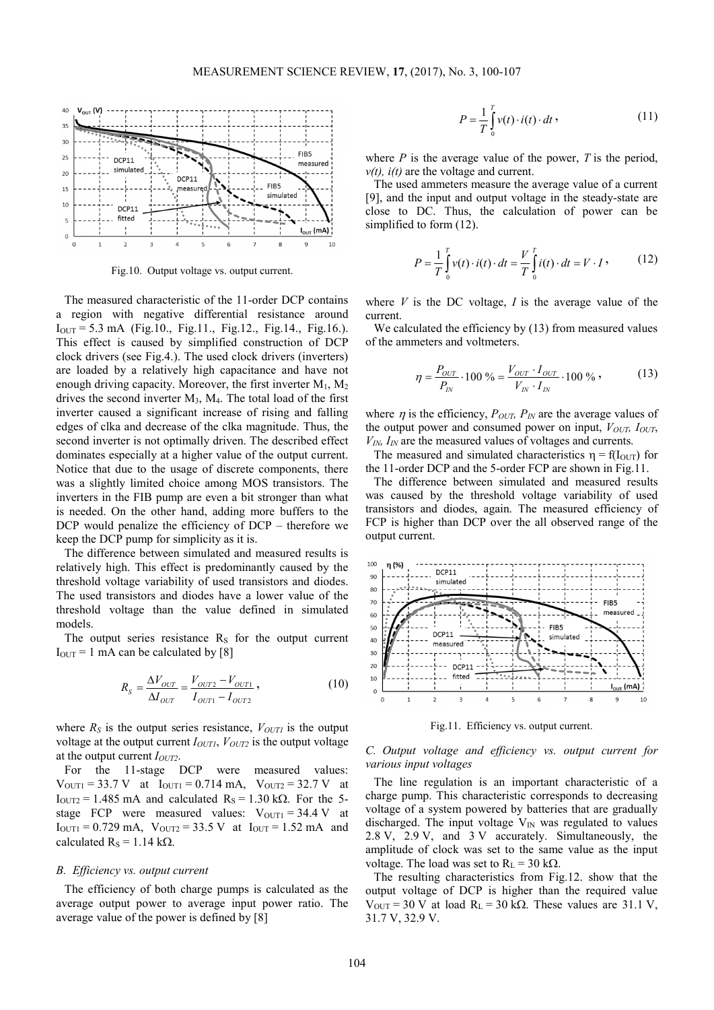

Fig.10. Output voltage vs. output current.

The measured characteristic of the 11-order DCP contains a region with negative differential resistance around  $I_{\text{OUT}} = 5.3 \text{ mA}$  (Fig.10., Fig.11., Fig.12., Fig.14., Fig.16.). This effect is caused by simplified construction of DCP clock drivers (see Fig.4.). The used clock drivers (inverters) are loaded by a relatively high capacitance and have not enough driving capacity. Moreover, the first inverter M1, M<sup>2</sup> drives the second inverter  $M_3$ ,  $M_4$ . The total load of the first inverter caused a significant increase of rising and falling edges of clka and decrease of the clka magnitude. Thus, the second inverter is not optimally driven. The described effect dominates especially at a higher value of the output current. Notice that due to the usage of discrete components, there was a slightly limited choice among MOS transistors. The inverters in the FIB pump are even a bit stronger than what is needed. On the other hand, adding more buffers to the DCP would penalize the efficiency of DCP – therefore we keep the DCP pump for simplicity as it is.

The difference between simulated and measured results is relatively high. This effect is predominantly caused by the threshold voltage variability of used transistors and diodes. The used transistors and diodes have a lower value of the threshold voltage than the value defined in simulated models.

The output series resistance  $R<sub>S</sub>$  for the output current  $I_{\text{OUT}} = 1$  mA can be calculated by [8]

$$
R_{S} = \frac{\Delta V_{OUT}}{\Delta I_{OUT}} = \frac{V_{OUT2} - V_{OUT1}}{I_{OUT1} - I_{OUT2}}\,,\tag{10}
$$

where  $R<sub>S</sub>$  is the output series resistance,  $V<sub>OUT1</sub>$  is the output voltage at the output current  $I_{OUT1}$ ,  $V_{OUT2}$  is the output voltage at the output current *IOUT2*.

For the 11-stage DCP were measured values:  $V_{\text{OUT1}} = 33.7 \text{ V}$  at  $I_{\text{OUT1}} = 0.714 \text{ mA}$ ,  $V_{\text{OUT2}} = 32.7 \text{ V}$  at I<sub>OUT2</sub> = 1.485 mA and calculated R<sub>S</sub> = 1.30 k $\Omega$ . For the 5stage FCP were measured values:  $V_{\text{OUT1}} = 34.4 \text{ V}$  at  $I_{\text{OUT1}} = 0.729 \text{ mA}$ ,  $V_{\text{OUT2}} = 33.5 \text{ V}$  at  $I_{\text{OUT}} = 1.52 \text{ mA}$  and calculated  $R_s = 1.14$  kΩ.

#### *B. Efficiency vs. output current*

The efficiency of both charge pumps is calculated as the average output power to average input power ratio. The average value of the power is defined by [8]

$$
P = \frac{1}{T} \int_{0}^{T} v(t) \cdot i(t) \cdot dt,
$$
\n(11)

where  $P$  is the average value of the power,  $T$  is the period, *v(t), i(t)* are the voltage and current.

The used ammeters measure the average value of a current [9], and the input and output voltage in the steady-state are close to DC. Thus, the calculation of power can be simplified to form (12).

$$
P = \frac{1}{T} \int_{0}^{T} v(t) \cdot i(t) \cdot dt = \frac{V}{T} \int_{0}^{T} i(t) \cdot dt = V \cdot I, \qquad (12)
$$

where  $V$  is the DC voltage,  $I$  is the average value of the current.

We calculated the efficiency by (13) from measured values of the ammeters and voltmeters.

$$
\eta = \frac{P_{OUT}}{P_{IN}} \cdot 100\% = \frac{V_{OUT} \cdot I_{OUT}}{V_{IN} \cdot I_{IN}} \cdot 100\% \,,\tag{13}
$$

where  $\eta$  is the efficiency,  $P_{OUT}$ ,  $P_{IN}$  are the average values of the output power and consumed power on input, *VOUT, IOUT*,  $V_{IN}$ ,  $I_{IN}$  are the measured values of voltages and currents.

The measured and simulated characteristics  $\eta = f(I_{\text{OUT}})$  for the 11-order DCP and the 5-order FCP are shown in Fig.11.

The difference between simulated and measured results was caused by the threshold voltage variability of used transistors and diodes, again. The measured efficiency of FCP is higher than DCP over the all observed range of the output current.



Fig.11. Efficiency vs. output current.

## *C. Output voltage and efficiency vs. output current for various input voltages*

The line regulation is an important characteristic of a charge pump. This characteristic corresponds to decreasing voltage of a system powered by batteries that are gradually discharged. The input voltage  $V_{IN}$  was regulated to values 2.8 V, 2.9 V, and 3 V accurately. Simultaneously, the amplitude of clock was set to the same value as the input voltage. The load was set to  $R_L = 30$  kΩ.

The resulting characteristics from Fig.12. show that the output voltage of DCP is higher than the required value  $V_{\text{OUT}} = 30 \text{ V}$  at load R<sub>L</sub> = 30 kΩ. These values are 31.1 V, 31.7 V, 32.9 V.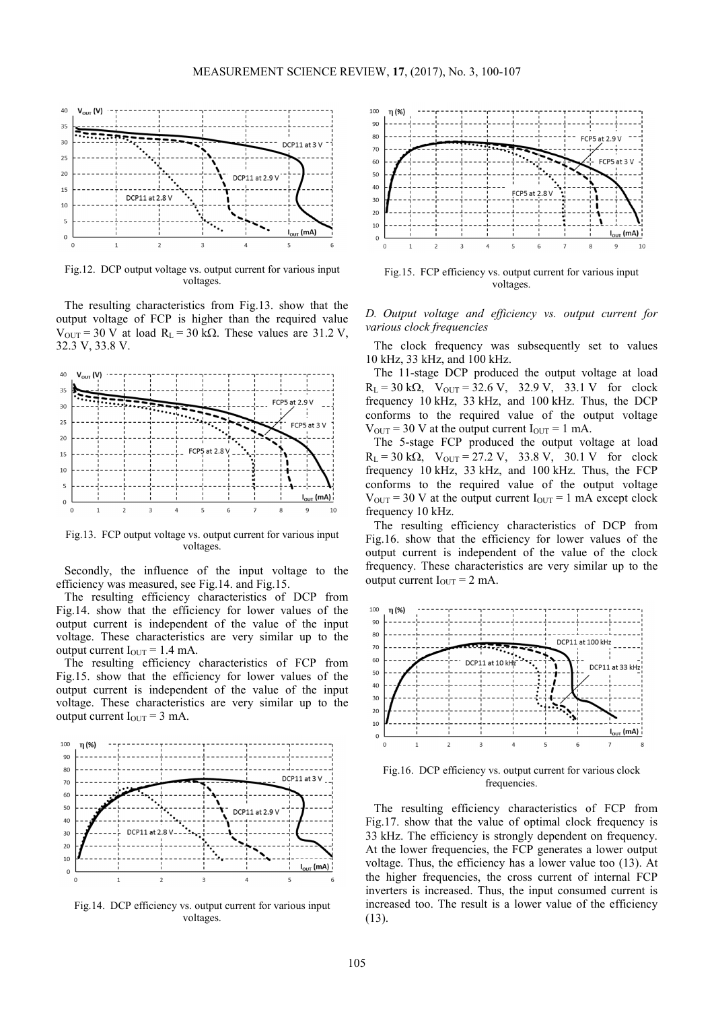

Fig.12. DCP output voltage vs. output current for various input voltages.

The resulting characteristics from Fig.13. show that the output voltage of FCP is higher than the required value  $V_{\text{OUT}}$  = 30 V at load R<sub>L</sub> = 30 kΩ. These values are 31.2 V, 32.3 V, 33.8 V.



Fig.13. FCP output voltage vs. output current for various input voltages.

Secondly, the influence of the input voltage to the efficiency was measured, see Fig.14. and Fig.15.

The resulting efficiency characteristics of DCP from Fig.14. show that the efficiency for lower values of the output current is independent of the value of the input voltage. These characteristics are very similar up to the output current  $I_{\text{OUT}} = 1.4 \text{ mA}$ .

The resulting efficiency characteristics of FCP from Fig.15. show that the efficiency for lower values of the output current is independent of the value of the input voltage. These characteristics are very similar up to the output current  $I_{\text{OUT}} = 3 \text{ mA}$ .



Fig.14. DCP efficiency vs. output current for various input voltages.



Fig.15. FCP efficiency vs. output current for various input voltages.

*D. Output voltage and efficiency vs. output current for various clock frequencies* 

The clock frequency was subsequently set to values 10 kHz, 33 kHz, and 100 kHz.

The 11-stage DCP produced the output voltage at load  $R_L = 30 k\Omega$ ,  $V_{OUT} = 32.6 V$ ,  $32.9 V$ ,  $33.1 V$  for clock frequency 10 kHz, 33 kHz, and 100 kHz. Thus, the DCP conforms to the required value of the output voltage  $V_{\text{OUT}} = 30$  V at the output current  $I_{\text{OUT}} = 1$  mA.

The 5-stage FCP produced the output voltage at load  $R_L = 30 k\Omega$ ,  $V_{OUT} = 27.2 V$ , 33.8 V, 30.1 V for clock frequency 10 kHz, 33 kHz, and 100 kHz. Thus, the FCP conforms to the required value of the output voltage  $V_{\text{OUT}} = 30$  V at the output current  $I_{\text{OUT}} = 1$  mA except clock frequency 10 kHz.

The resulting efficiency characteristics of DCP from Fig.16. show that the efficiency for lower values of the output current is independent of the value of the clock frequency. These characteristics are very similar up to the output current  $I_{\text{OUT}} = 2 \text{ mA}$ .



Fig.16. DCP efficiency vs. output current for various clock frequencies.

The resulting efficiency characteristics of FCP from Fig.17. show that the value of optimal clock frequency is 33 kHz. The efficiency is strongly dependent on frequency. At the lower frequencies, the FCP generates a lower output voltage. Thus, the efficiency has a lower value too (13). At the higher frequencies, the cross current of internal FCP inverters is increased. Thus, the input consumed current is increased too. The result is a lower value of the efficiency (13).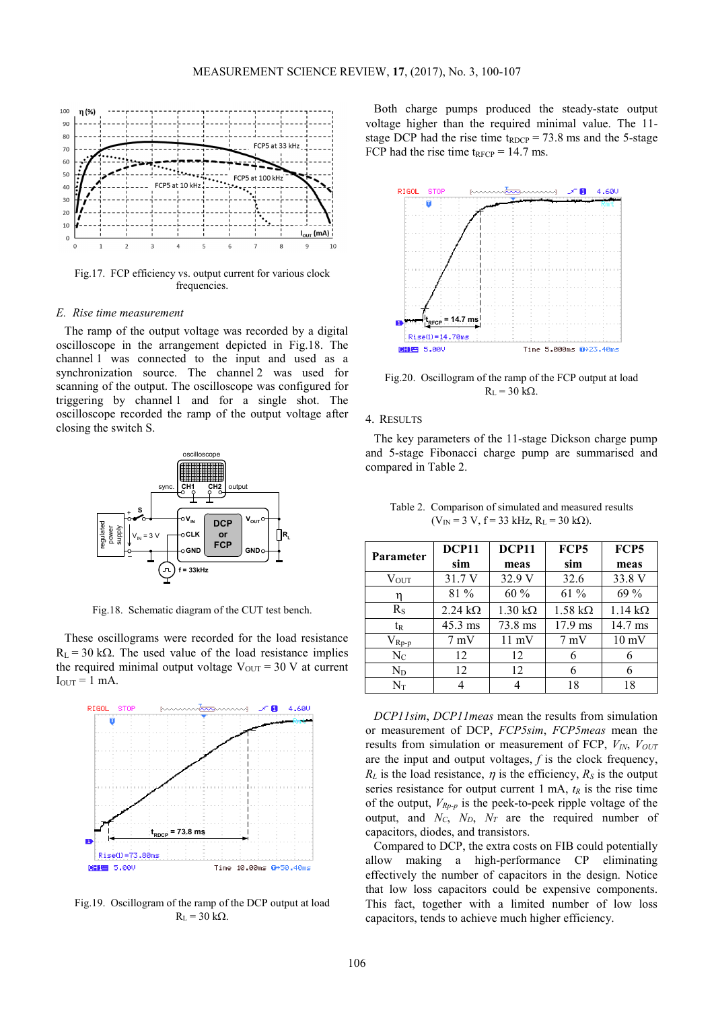

Fig.17. FCP efficiency vs. output current for various clock frequencies.

## *E. Rise time measurement*

The ramp of the output voltage was recorded by a digital oscilloscope in the arrangement depicted in Fig.18. The channel 1 was connected to the input and used as a synchronization source. The channel 2 was used for scanning of the output. The oscilloscope was configured for triggering by channel 1 and for a single shot. The oscilloscope recorded the ramp of the output voltage after closing the switch S.



Fig.18. Schematic diagram of the CUT test bench.

These oscillograms were recorded for the load resistance  $R<sub>L</sub> = 30 k\Omega$ . The used value of the load resistance implies the required minimal output voltage  $V_{OUT} = 30$  V at current  $I_{OUT} = 1$  mA.



Fig.19. Oscillogram of the ramp of the DCP output at load  $R_L = 30 k\Omega$ .

Both charge pumps produced the steady-state output voltage higher than the required minimal value. The 11 stage DCP had the rise time  $t_{RDCP} = 73.8$  ms and the 5-stage FCP had the rise time  $t_{\text{RFCP}} = 14.7 \text{ ms}$ .



Fig.20. Oscillogram of the ramp of the FCP output at load  $R_L = 30 k\Omega$ .

#### 4. RESULTS

The key parameters of the 11-stage Dickson charge pump and 5-stage Fibonacci charge pump are summarised and compared in Table 2.

| Parameter        | DCP11<br>sim           | <b>DCP11</b><br>meas   | FCP5<br>sim            | FCP5<br>meas      |
|------------------|------------------------|------------------------|------------------------|-------------------|
| $V_{\text{OUT}}$ | 31.7 V                 | 32.9 V                 | 32.6                   | 33.8 V            |
| η                | 81 %                   | $60\%$                 | $61\%$                 | 69%               |
| $R_{S}$          | $2.24 \text{ k}\Omega$ | $1.30 \text{ k}\Omega$ | $1.58 \text{ k}\Omega$ | 1.14 k $\Omega$   |
| tr               | $45.3 \text{ ms}$      | 73.8 ms                | $17.9$ ms              | $14.7 \text{ ms}$ |
| $V_{Rp-p}$       | $7 \text{ mV}$         | $11 \text{ mV}$        | $7 \text{ mV}$         | $10 \text{ mV}$   |
| $N_{C}$          | 12                     | 12                     | 6                      | 6                 |
| $N_D$            | 12                     | 12                     | 6                      | 6                 |
| $\rm N_{T}$      |                        |                        | 18                     | 18                |

Table 2. Comparison of simulated and measured results  $(V_{IN} = 3 V, f = 33 kHz, R<sub>L</sub> = 30 kΩ)$ .

*DCP11sim*, *DCP11meas* mean the results from simulation or measurement of DCP, *FCP5sim*, *FCP5meas* mean the results from simulation or measurement of FCP, *VIN*, *VOUT* are the input and output voltages, *f* is the clock frequency,  $R_L$  is the load resistance,  $\eta$  is the efficiency,  $R_S$  is the output series resistance for output current 1 mA, *tR* is the rise time of the output, *VRp-p* is the peek-to-peek ripple voltage of the output, and *NC*, *ND*, *NT* are the required number of capacitors, diodes, and transistors.

Compared to DCP, the extra costs on FIB could potentially allow making a high-performance CP eliminating effectively the number of capacitors in the design. Notice that low loss capacitors could be expensive components. This fact, together with a limited number of low loss capacitors, tends to achieve much higher efficiency.